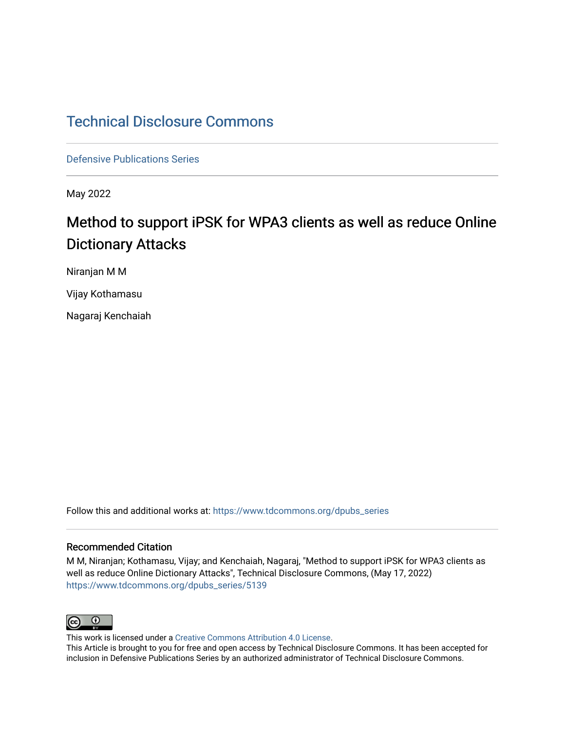# [Technical Disclosure Commons](https://www.tdcommons.org/)

[Defensive Publications Series](https://www.tdcommons.org/dpubs_series)

May 2022

# Method to support iPSK for WPA3 clients as well as reduce Online Dictionary Attacks

Niranjan M M

Vijay Kothamasu

Nagaraj Kenchaiah

Follow this and additional works at: [https://www.tdcommons.org/dpubs\\_series](https://www.tdcommons.org/dpubs_series?utm_source=www.tdcommons.org%2Fdpubs_series%2F5139&utm_medium=PDF&utm_campaign=PDFCoverPages) 

### Recommended Citation

M M, Niranjan; Kothamasu, Vijay; and Kenchaiah, Nagaraj, "Method to support iPSK for WPA3 clients as well as reduce Online Dictionary Attacks", Technical Disclosure Commons, (May 17, 2022) [https://www.tdcommons.org/dpubs\\_series/5139](https://www.tdcommons.org/dpubs_series/5139?utm_source=www.tdcommons.org%2Fdpubs_series%2F5139&utm_medium=PDF&utm_campaign=PDFCoverPages)



This work is licensed under a [Creative Commons Attribution 4.0 License](http://creativecommons.org/licenses/by/4.0/deed.en_US).

This Article is brought to you for free and open access by Technical Disclosure Commons. It has been accepted for inclusion in Defensive Publications Series by an authorized administrator of Technical Disclosure Commons.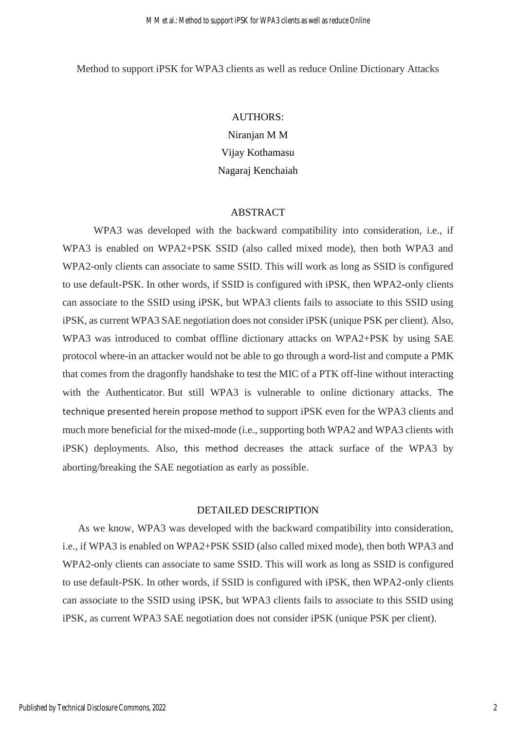Method to support iPSK for WPA3 clients as well as reduce Online Dictionary Attacks

#### AUTHORS:

Niranjan M M Vijay Kothamasu Nagaraj Kenchaiah

#### ABSTRACT

WPA3 was developed with the backward compatibility into consideration, i.e., if WPA3 is enabled on WPA2+PSK SSID (also called mixed mode), then both WPA3 and WPA2-only clients can associate to same SSID. This will work as long as SSID is configured to use default-PSK. In other words, if SSID is configured with iPSK, then WPA2-only clients can associate to the SSID using iPSK, but WPA3 clients fails to associate to this SSID using iPSK, as current WPA3 SAE negotiation does not consider iPSK (unique PSK per client). Also, WPA3 was introduced to combat offline dictionary attacks on WPA2+PSK by using SAE protocol where-in an attacker would not be able to go through a word-list and compute a PMK that comes from the dragonfly handshake to test the MIC of a PTK off-line without interacting with the Authenticator. But still WPA3 is vulnerable to online dictionary attacks. The technique presented herein propose method to support iPSK even for the WPA3 clients and much more beneficial for the mixed-mode (i.e., supporting both WPA2 and WPA3 clients with iPSK) deployments. Also, this method decreases the attack surface of the WPA3 by aborting/breaking the SAE negotiation as early as possible.

## DETAILED DESCRIPTION

As we know, WPA3 was developed with the backward compatibility into consideration, i.e., if WPA3 is enabled on WPA2+PSK SSID (also called mixed mode), then both WPA3 and WPA2-only clients can associate to same SSID. This will work as long as SSID is configured to use default-PSK. In other words, if SSID is configured with iPSK, then WPA2-only clients can associate to the SSID using iPSK, but WPA3 clients fails to associate to this SSID using iPSK, as current WPA3 SAE negotiation does not consider iPSK (unique PSK per client).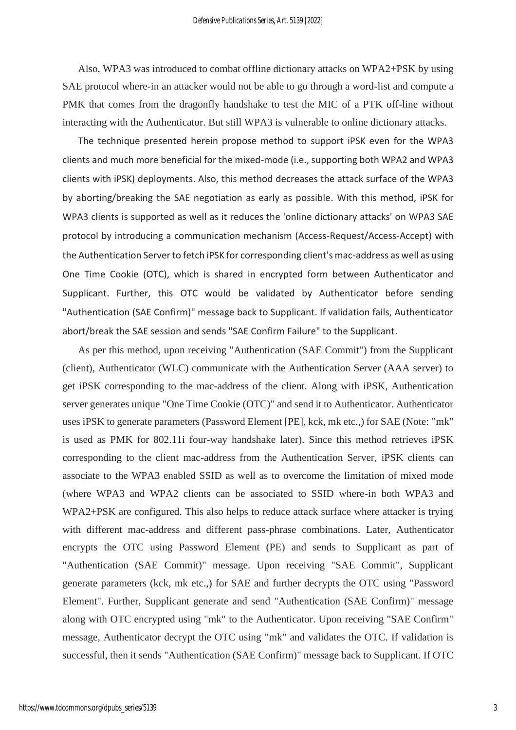Also, WPA3 was introduced to combat offline dictionary attacks on WPA2+PSK by using SAE protocol where-in an attacker would not be able to go through a word-list and compute a PMK that comes from the dragonfly handshake to test the MIC of a PTK off-line without interacting with the Authenticator. But still WPA3 is vulnerable to online dictionary attacks.

The technique presented herein propose method to support iPSK even for the WPA3 clients and much more beneficial for the mixed-mode (i.e., supporting both WPA2 and WPA3 clients with iPSK) deployments. Also, this method decreases the attack surface of the WPA3 by aborting/breaking the SAE negotiation as early as possible. With this method, iPSK for WPA3 clients is supported as well as it reduces the 'online dictionary attacks' on WPA3 SAE protocol by introducing a communication mechanism (Access-Request/Access-Accept) with the Authentication Server to fetch iPSK for corresponding client's mac-address as well as using One Time Cookie (OTC), which is shared in encrypted form between Authenticator and Supplicant. Further, this OTC would be validated by Authenticator before sending "Authentication (SAE Confirm)" message back to Supplicant. If validation fails, Authenticator abort/break the SAE session and sends "SAE Confirm Failure" to the Supplicant.

As per this method, upon receiving "Authentication (SAE Commit") from the Supplicant (client), Authenticator (WLC) communicate with the Authentication Server (AAA server) to get iPSK corresponding to the mac-address of the client. Along with iPSK, Authentication server generates unique "One Time Cookie (OTC)" and send it to Authenticator. Authenticator uses iPSK to generate parameters (Password Element [PE], kck, mk etc.,) for SAE (Note: "mk" is used as PMK for 802.11i four-way handshake later). Since this method retrieves iPSK corresponding to the client mac-address from the Authentication Server, iPSK clients can associate to the WPA3 enabled SSID as well as to overcome the limitation of mixed mode (where WPA3 and WPA2 clients can be associated to SSID where-in both WPA3 and WPA2+PSK are configured. This also helps to reduce attack surface where attacker is trying with different mac-address and different pass-phrase combinations. Later, Authenticator encrypts the OTC using Password Element (PE) and sends to Supplicant as part of "Authentication (SAE Commit)" message. Upon receiving "SAE Commit", Supplicant generate parameters (kck, mk etc.,) for SAE and further decrypts the OTC using "Password Element". Further, Supplicant generate and send "Authentication (SAE Confirm)" message along with OTC encrypted using "mk" to the Authenticator. Upon receiving "SAE Confirm" message, Authenticator decrypt the OTC using "mk" and validates the OTC. If validation is successful, then it sends "Authentication (SAE Confirm)" message back to Supplicant. If OTC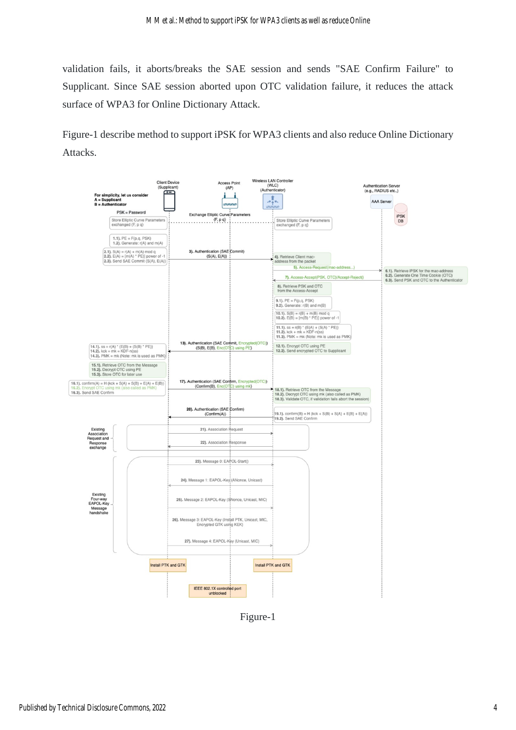validation fails, it aborts/breaks the SAE session and sends "SAE Confirm Failure" to Supplicant. Since SAE session aborted upon OTC validation failure, it reduces the attack surface of WPA3 for Online Dictionary Attack.

Figure-1 describe method to support iPSK for WPA3 clients and also reduce Online Dictionary Attacks.



Figure-1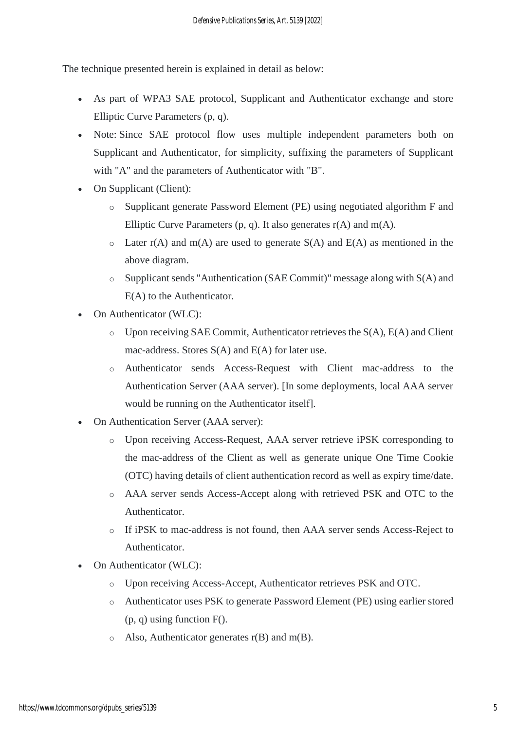The technique presented herein is explained in detail as below:

- As part of WPA3 SAE protocol, Supplicant and Authenticator exchange and store Elliptic Curve Parameters (p, q).
- Note: Since SAE protocol flow uses multiple independent parameters both on Supplicant and Authenticator, for simplicity, suffixing the parameters of Supplicant with "A" and the parameters of Authenticator with "B".
- On Supplicant (Client):
	- o Supplicant generate Password Element (PE) using negotiated algorithm F and Elliptic Curve Parameters  $(p, q)$ . It also generates  $r(A)$  and  $m(A)$ .
	- $\circ$  Later r(A) and m(A) are used to generate S(A) and E(A) as mentioned in the above diagram.
	- o Supplicant sends "Authentication (SAE Commit)" message along with S(A) and E(A) to the Authenticator.
- On Authenticator (WLC):
	- o Upon receiving SAE Commit, Authenticator retrieves the S(A), E(A) and Client mac-address. Stores S(A) and E(A) for later use.
	- o Authenticator sends Access-Request with Client mac-address to the Authentication Server (AAA server). [In some deployments, local AAA server would be running on the Authenticator itself].
- On Authentication Server (AAA server):
	- o Upon receiving Access-Request, AAA server retrieve iPSK corresponding to the mac-address of the Client as well as generate unique One Time Cookie (OTC) having details of client authentication record as well as expiry time/date.
	- o AAA server sends Access-Accept along with retrieved PSK and OTC to the Authenticator.
	- o If iPSK to mac-address is not found, then AAA server sends Access-Reject to Authenticator.
- On Authenticator (WLC):
	- o Upon receiving Access-Accept, Authenticator retrieves PSK and OTC.
	- o Authenticator uses PSK to generate Password Element (PE) using earlier stored  $(p, q)$  using function  $F()$ .
	- $\circ$  Also, Authenticator generates r(B) and m(B).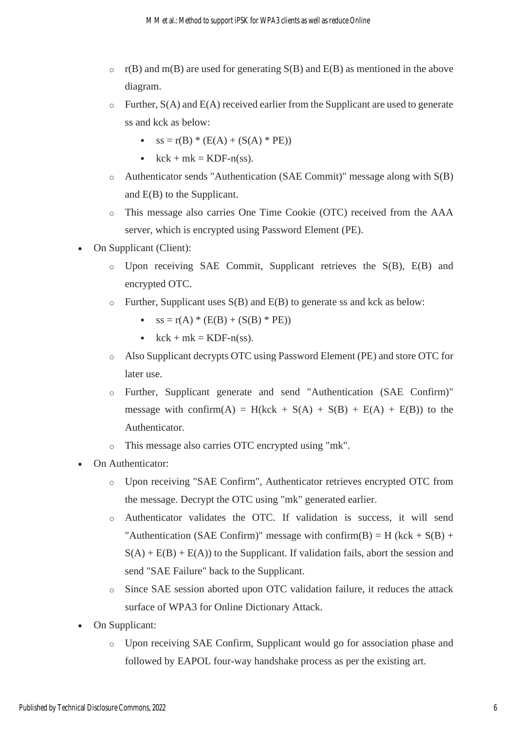- $\circ$  r(B) and m(B) are used for generating S(B) and E(B) as mentioned in the above diagram.
- $\circ$  Further,  $S(A)$  and  $E(A)$  received earlier from the Supplicant are used to generate ss and kck as below:
	- $ss = r(B) * (E(A) + (S(A) * PE))$
	- $\text{c}$  kck + mk = KDF-n(ss).
- o Authenticator sends "Authentication (SAE Commit)" message along with S(B) and E(B) to the Supplicant.
- o This message also carries One Time Cookie (OTC) received from the AAA server, which is encrypted using Password Element (PE).
- On Supplicant (Client):
	- o Upon receiving SAE Commit, Supplicant retrieves the S(B), E(B) and encrypted OTC.
	- $\circ$  Further, Supplicant uses S(B) and E(B) to generate ss and kck as below:
		- $ss = r(A) * (E(B) + (S(B) * PE))$
		- $\text{c}$  kck + mk = KDF-n(ss).
	- o Also Supplicant decrypts OTC using Password Element (PE) and store OTC for later use.
	- o Further, Supplicant generate and send "Authentication (SAE Confirm)" message with confirm(A) = H(kck + S(A) + S(B) + E(A) + E(B)) to the Authenticator.
	- o This message also carries OTC encrypted using "mk".
- On Authenticator:
	- o Upon receiving "SAE Confirm", Authenticator retrieves encrypted OTC from the message. Decrypt the OTC using "mk" generated earlier.
	- o Authenticator validates the OTC. If validation is success, it will send "Authentication (SAE Confirm)" message with confirm(B) = H (kck +  $S(B)$  +  $S(A) + E(B) + E(A)$  to the Supplicant. If validation fails, abort the session and send "SAE Failure" back to the Supplicant.
	- o Since SAE session aborted upon OTC validation failure, it reduces the attack surface of WPA3 for Online Dictionary Attack.
- On Supplicant:
	- o Upon receiving SAE Confirm, Supplicant would go for association phase and followed by EAPOL four-way handshake process as per the existing art.